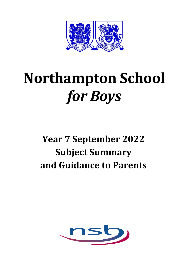

# **Northampton School** *for Boys*

## **Year 7 September 2022 Subject Summary and Guidance to Parents**

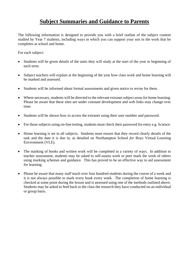## **Subject Summaries and Guidance to Parents**

The following information is designed to provide you with a brief outline of the subject content studied by Year 7 students, including ways in which you can support your son in the work that he completes at school and home.

For each subject:

- Students will be given details of the units they will study at the start of the year or beginning of each term.
- Subject teachers will explain at the beginning of the year how class work and home learning will be marked and assessed.
- Students will be informed about formal assessments and given notice to revise for them.
- Where necessary, students will be directed to the relevant extranet subject areas for home learning. Please be aware that these sites are under constant development and web links may change over time.
- Students will be shown how to access the extranet using their user number and password.
- For those subjects using on-line testing, students must check their password for entry e.g. Science.
- Home learning is set in all subjects. Students must ensure that they record clearly details of the task and the date it is due in, as detailed on Northampton School *for* Boys Virtual Learning Environment (VLE).
- The marking of books and written work will be completed in a variety of ways. In addition to teacher assessment, students may be asked to self-assess work or peer mark the work of others using marking schemes and guidance. This has proved to be an effective way to aid assessment for learning.
- Please be aware that many staff teach over four hundred students during the course of a week and it is not always possible to mark every book every week. The completion of home learning is checked at some point during the lesson and is assessed using one of the methods outlined above. Students may be asked to feed back to the class the research they have conducted on an individual or group basis.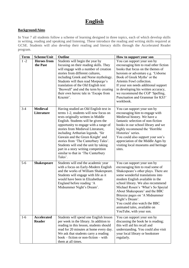## **English**

#### **Background/Aims**

In Year 7 all students follow a scheme of learning designed in three topics, each of which develop skills in writing, reading and speaking and listening. These introduce the reading and writing skills required at GCSE. Students will also develop their reading and literacy skills through the Accelerated Reader program.

| <b>Term</b> | Scheme/Unit                    | Outline                                                                                                                                                                                                                                                                                                                                                                                                                                                                                    | How to support your son                                                                                                                                                                                                                                                                                                                                                                                                                    |
|-------------|--------------------------------|--------------------------------------------------------------------------------------------------------------------------------------------------------------------------------------------------------------------------------------------------------------------------------------------------------------------------------------------------------------------------------------------------------------------------------------------------------------------------------------------|--------------------------------------------------------------------------------------------------------------------------------------------------------------------------------------------------------------------------------------------------------------------------------------------------------------------------------------------------------------------------------------------------------------------------------------------|
| $1 - 2$     | <b>Heroes</b> from<br>the Past | Students will begin the year by<br>focusing on their reading skills. They<br>will engage with a number of creation<br>stories from different cultures,<br>including Greek and Norse mythology.<br>Students will then read Morpurgo's<br>translation of the Old English text<br>'Beowulf' and end the term by creating<br>their own heroic tale in 'Escape from<br>Kraznir'.                                                                                                                | You can support your son by<br>encouraging him to read other fiction<br>books that focus on the themes of<br>heroism or adventure e.g. 'Usborne<br>Book of Greek Myths' or the<br>Artemis Fowl collection.<br>If your son needs additional support<br>in developing his written accuracy,<br>we recommend the CGP 'Spelling,<br>Punctuation and Grammar for KS3'<br>workbook.                                                              |
| $3 - 4$     | <b>Medieval</b><br>Literature  | Having studied an Old English text in<br>terms 1-2, students will now focus on<br>texts originally written in Middle<br>English. Students will be given the<br>opportunity to engage with a range of<br>stories from Medieval Literature,<br>including Arthurian legends, 'Sir<br>Gawain and the Green Knight' and<br>stories from 'The Canterbury Tales'.<br>Students will end the unit by taking<br>part in a story writing competition<br>similar to that in 'The Canterbury<br>Tales'. | You can support your son by<br>encouraging him to engage with<br>Medieval history. We have a<br>fantastic selection of non-fiction<br>books in our school library and we<br>highly recommend the 'Horrible<br>Histories' series.<br>You could also support your son's<br>appreciation of the Middle Ages by<br>visiting local museums and heritage<br>sites.                                                                               |
| $5 - 6$     | <b>Shakespeare</b>             | Students will end the academic year<br>with a focus on Early-Modern English<br>and the works of William Shakespeare.<br>Students will engage with life as it<br>would have been in Elizabethan<br>England before reading 'A<br>Midsummer Night's Dream'.                                                                                                                                                                                                                                   | You can support your son by<br>encouraging him to read some of<br>Shakespeare's other plays. There are<br>some wonderful translations into<br>modern English available in the<br>school library. We also recommend<br>Michael Rosen's 'What's So Special<br>About Shakespeare' and the BBC<br>Bitesize pages on 'A Midsummer<br>Night's Dream'.<br>You could also watch the BBC<br>animated tales, available on<br>YouTube, with your son. |
| $1-6$       | Accelerated<br><b>Reader</b>   | Students will spend one English lesson<br>per week in the library. In addition to<br>reading in this lesson, students should<br>read for 20 minutes at home every day.<br>We ask that students carry a reading<br>$book - fiction or non-fiction - with$<br>them at all times.                                                                                                                                                                                                             | You can support your son by<br>discussing the book he is reading;<br>this will aid his recall and<br>understanding. You could also visit<br>your local library or bookstore<br>regularly.                                                                                                                                                                                                                                                  |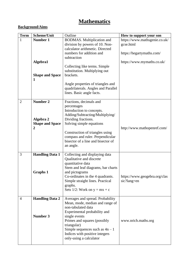## **Mathematics**

#### **Background/Aims**

| <b>Term</b>    | Scheme/Unit            | Outline                                                                  | How to support your son                      |
|----------------|------------------------|--------------------------------------------------------------------------|----------------------------------------------|
| 1              | Number 1               | BODMAS. Multiplication and                                               | https://www.mathsgenie.co.uk/                |
|                |                        | division by powers of 10. Non-                                           | gcse.html                                    |
|                |                        | calculator arithmetic. Directed                                          |                                              |
|                |                        | numbers for addition and<br>subtraction                                  | https://hegartymaths.com/                    |
|                | Algebra1               |                                                                          | https://www.mymaths.co.uk/                   |
|                |                        | Collecting like terms. Simple                                            |                                              |
|                |                        | substitution. Multiplying out                                            |                                              |
|                | <b>Shape and Space</b> | brackets.                                                                |                                              |
|                | 1                      |                                                                          |                                              |
|                |                        | Angle properties of triangles and<br>quadrilaterals. Angles and Parallel |                                              |
|                |                        | lines. Basic angle facts.                                                |                                              |
|                |                        |                                                                          |                                              |
| $\overline{2}$ | Number 2               | Fractions, decimals and                                                  |                                              |
|                |                        | percentages                                                              |                                              |
|                |                        | Introduction to concepts.                                                |                                              |
|                | Algebra 2              | Adding/Subtracting/Multiplying/<br>Dividing fractions.                   |                                              |
|                | <b>Shape and Space</b> | Solving simple equations                                                 |                                              |
|                | $\overline{2}$         |                                                                          | http://www.mathopenref.com/                  |
|                |                        | Construction of triangles using                                          |                                              |
|                |                        | compass and ruler. Perpendicular                                         |                                              |
|                |                        | bisector of a line and bisector of                                       |                                              |
|                |                        | an angle.                                                                |                                              |
| 3              | <b>Handling Data 1</b> | Collecting and displaying data                                           |                                              |
|                |                        | Qualitative and discrete                                                 |                                              |
|                |                        | quantitative data                                                        |                                              |
|                |                        | Stem and leaf diagrams, bar charts                                       |                                              |
|                | <b>Graphs 1</b>        | and pictograms                                                           |                                              |
|                |                        | Co-ordinates in the 4 quadrants.<br>Simple straight lines. Practical     | https://www.geogebra.org/clas<br>sic?lang=en |
|                |                        | graphs.                                                                  |                                              |
|                |                        | Sets $1/2$ : Work on $y = mx + c$                                        |                                              |
|                |                        |                                                                          |                                              |
| $\overline{4}$ | <b>Handling Data 2</b> | Averages and spread. Probability                                         |                                              |
|                |                        | Mean, mode, median and range of<br>non-tabulated data                    |                                              |
|                |                        | Experimental probability and                                             |                                              |
|                | Number 3               | single events                                                            |                                              |
|                |                        | Primes and squares (possibly                                             | www.nrich.maths.org                          |
|                |                        | triangular)                                                              |                                              |
|                |                        | Simple sequences such as $4n - 1$                                        |                                              |
|                |                        | Indices with positive integers                                           |                                              |
|                |                        | only-using a calculator                                                  |                                              |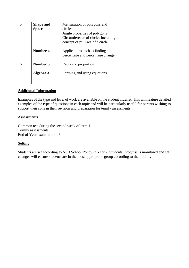| 5<br>Shape and<br><b>Space</b> |           | Mensuration of polygons and<br>circles<br>Angle properties of polygons<br>Circumference of circles including<br>concept of pi. Area of a circle. |  |
|--------------------------------|-----------|--------------------------------------------------------------------------------------------------------------------------------------------------|--|
|                                | Number 4  | Applications such as finding a<br>percentage and percentage change                                                                               |  |
| 6                              | Number 5  | Ratio and proportion                                                                                                                             |  |
|                                | Algebra 3 | Forming and using equations                                                                                                                      |  |

Examples of the type and level of work are available on the student intranet. This will feature detailed examples of the type of questions in each topic and will be particularly useful for parents wishing to support their sons in their revision and preparation for termly assessments.

#### **Assessments**

Common test during the second week of term 1. Termly assessments. End of Year exam in term 6.

#### **Setting**

Students are set according to NSB School Policy in Year 7. Students' progress is monitored and set changes will ensure students are in the most appropriate group according to their ability.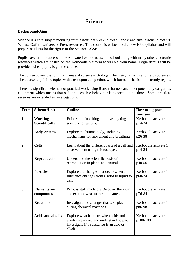## **Science**

#### **Background/Aims**

Science is a core subject requiring four lessons per week in Year 7 and 8 and five lessons in Year 9. We use Oxford University Press resources. This course is written to the new KS3 syllabus and will prepare students for the rigour of the Science GCSE.

Pupils have on-line access to the Activate Textbooks used in school along with many other electronic resources which are hosted on the Kerboodle platform accessible from home. Login details will be provided when pupils begin the course.

The course covers the four main areas of science – Biology, Chemistry, Physics and Earth Sciences. The course is split into topics with a test upon completion, which forms the basis of the termly report.

There is a significant element of practical work using Bunsen burners and other potentially dangerous equipment which means that safe and sensible behaviour is expected at all times. Some practical sessions are extended as investigations.

| <b>Term</b>    | <b>Scheme/Unit</b>                      | <b>Outline</b>                                                                                                                        | How to support                   |
|----------------|-----------------------------------------|---------------------------------------------------------------------------------------------------------------------------------------|----------------------------------|
|                |                                         |                                                                                                                                       | vour son                         |
| $\mathbf{1}$   | <b>Working</b><br><b>Scientifically</b> | Build skills in asking and investigating<br>scientific questions.                                                                     | Kerboodle activate 1<br>p14-24   |
|                | <b>Body systems</b>                     | Explore the human body, including<br>mechanisms for movement and breathing.                                                           | Kerboodle activate 1<br>p26-38   |
| $\overline{2}$ | <b>Cells</b>                            | Learn about the different parts of a cell and<br>observe them using microscopes.                                                      | Kerboodle activate 1<br>p14-24   |
|                | <b>Reproduction</b>                     | Understand the scientific basis of<br>reproduction in plants and animals.                                                             | Kerboodle activate 1<br>p40-56   |
|                | <b>Particles</b>                        | Explore the changes that occur when a<br>substance changes from a solid to liquid to<br>gas.                                          | Kerboodle activate 1<br>p60-74   |
| 3              | <b>Elements and</b><br>compounds        | What is stuff made of? Discover the atom<br>and explore what makes up matter.                                                         | Kerboodle activate 1<br>p76-84   |
|                | <b>Reactions</b>                        | Investigate the changes that take place<br>during chemical reactions.                                                                 | Kerboodle activate 1<br>p86-98   |
|                | <b>Acids and alkalis</b>                | Explore what happens when acids and<br>alkalis are mixed and understand how to<br>investigate if a substance is an acid or<br>alkali. | Kerboodle activate 1<br>p100-108 |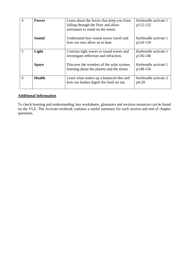| $\overline{4}$ | <b>Forces</b> | Learn about the forces that keep you from<br>falling through the floor and allow<br>astronauts to stand on the moon. | Kerboodle activate 1<br>p112-122 |
|----------------|---------------|----------------------------------------------------------------------------------------------------------------------|----------------------------------|
|                | Sound         | Understand how sound waves travel and<br>how our ears allow us to hear.                                              | Kerboodle activate 1<br>p124-134 |
| 5              | Light         | Contrast light waves to sound waves and<br>investigate reflection and refraction.                                    | Kerboodle activate 1<br>p136-146 |
|                | <b>Space</b>  | Discover the wonders of the solar system,<br>learning about the planets and the moon.                                | Kerboodle activate 1<br>p148-156 |
| 6              | <b>Health</b> | Learn what makes up a balanced diet and<br>how our bodies digest the food we eat.                                    | Kerboodle activate 2<br>$p4-20$  |

To check learning and understanding, key worksheets, glossaries and revision resources can be found on the VLE. The Activate textbook contains a useful summary for each section and end of chapter questions.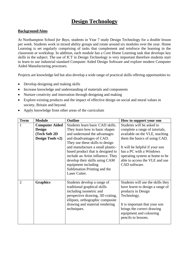## **Design Technology**

#### **Background/Aims**

At Northampton School *for Boys,* students in Year 7 study Design Technology for a double lesson per week. Students work in mixed ability groups and rotate around six modules over the year. Home Learning is set regularly comprising of tasks that complement and reinforce the learning in the classroom or workshop. In addition, each module has a Core Home Learning task that develops key skills in the subject. The use of ICT in Design Technology is very important therefore students start to learn to use industrial standard Computer Aided Design Software and explore modern Computer Aided Manufacturing processes.

Projects are knowledge led but also develop a wide range of practical skills offering opportunities to:

- Develop designing and making skills
- Increase knowledge and understanding of materials and components
- Nurture creativity and innovation through designing and making
- Explore existing products and the impact of effective design on social and moral values in society, Britain and beyond.
- Apply knowledge from other areas of the curriculum

| <b>Term</b>    | <b>Module</b>         | <b>Outline</b>                    | How to support your son           |
|----------------|-----------------------|-----------------------------------|-----------------------------------|
| 1              | <b>Computer Aided</b> | Students learn basic CAD skills.  | Students will be asked to         |
|                | <b>Design</b>         | They learn how to basic shapes    | complete a range of tutorials,    |
|                | (Tech Soft 2D         | and understand the advantages     | available on the VLE, teaching    |
|                | Design Tools v2)      | and disadvantages of CAD.         | them the basics of using CAD.     |
|                |                       | They use these skills to design   |                                   |
|                |                       | and manufacture a small plastic-  | It will be helpful if your son    |
|                |                       | based product that is designed to | has a PC with a Windows           |
|                |                       | include an Artist influence. They | operating system at home to be    |
|                |                       | develop their skills using CAM    | able to access the VLE and use    |
|                |                       | equipment including               | CAD software.                     |
|                |                       | Sublimation Printing and the      |                                   |
|                |                       | Laser Cutter.                     |                                   |
|                |                       |                                   |                                   |
| $\overline{2}$ | <b>Graphics</b>       | Students develop a range of       | Students will use the skills they |
|                |                       | traditional graphical skills      | have learnt to design a range of  |
|                |                       | including isometric and           | products in Design                |
|                |                       | perspective drawing, 3D crating,  | Technology.                       |
|                |                       | ellipses, orthographic composite  |                                   |
|                |                       | drawing and material rendering    | It is important that your son     |
|                |                       | techniques.                       | brings the correct drawing        |
|                |                       |                                   | equipment and colouring           |
|                |                       |                                   | pencils to lessons.               |
|                |                       |                                   |                                   |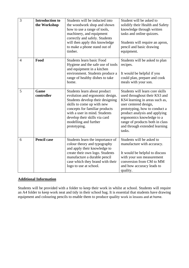| 3              | <b>Introduction to</b><br>the Workshop | Students will be inducted into<br>the woodwork shop and shown<br>how to use a range of tools,<br>machinery, and equipment<br>correctly and safely. Students<br>will then apply this knowledge<br>to make a phone stand out of<br>timber.                                       | Student will be asked to<br>solidify their Health and Safety<br>knowledge through written<br>tasks and online quizzes.<br>Students will require an apron,<br>pencil and basic drawing<br>equipment.                                                                                                      |
|----------------|----------------------------------------|--------------------------------------------------------------------------------------------------------------------------------------------------------------------------------------------------------------------------------------------------------------------------------|----------------------------------------------------------------------------------------------------------------------------------------------------------------------------------------------------------------------------------------------------------------------------------------------------------|
| $\overline{4}$ | Food                                   | Students learn basic Food<br>Hygiene and the safe use of tools<br>and equipment in a kitchen<br>environment. Students produce a<br>range of healthy dishes to take<br>home.                                                                                                    | Students will be asked to plan<br>recipes.<br>It would be helpful if you<br>could plan, prepare and cook<br>meals with your son.                                                                                                                                                                         |
| 5              | Game<br>controller                     | Students learn about product<br>evolution and ergonomic design.<br>Students develop their designing<br>skills to come up with new<br>concepts for familiar products<br>with a user in mind. Students<br>develop their skills via card<br>modelling and further<br>prototyping. | Students will learn core skills<br>used throughout their KS3 and<br>KS4 learning in areas such as,<br>user centered design,<br>prototyping, how to conduct a<br>product analysis and applying<br>ergonomics knowledge to a<br>range of products both in class<br>and through extended learning<br>tasks. |
| 6              | <b>Pencil case</b>                     | Students learn the importance of<br>colour theory and typography<br>and apply their knowledge to<br>create their own logo. Students<br>manufacture a durable pencil<br>case which they brand with their<br>logo to use at school.                                              | Students will be asked to<br>manufacture with accuracy.<br>It would be helpful to discuss<br>with your son measurement<br>conversion from CM to MM<br>and how accuracy leads to<br>quality.                                                                                                              |

Students will be provided with a folder to keep their work in whilst at school. Students will require an A4 folder to keep work neat and tidy in their school bag. It is essential that students have drawing equipment and colouring pencils to enable them to produce quality work in lessons and at home.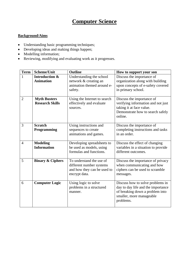## **Computer Science**

#### **Background/Aims**

- Understanding basic programming techniques;
- Developing ideas and making things happen;
- Modelling information;
- Reviewing, modifying and evaluating work as it progresses.

| <b>Term</b>    | <b>Scheme/Unit</b>                            | <b>Outline</b>                                                                                       | How to support your son                                                                                                                            |
|----------------|-----------------------------------------------|------------------------------------------------------------------------------------------------------|----------------------------------------------------------------------------------------------------------------------------------------------------|
| $\mathbf{1}$   | <b>Introduction &amp;</b><br><b>Animation</b> | Understanding the school<br>network & creating an<br>animation themed around e-<br>safety.           | Discuss the importance of<br>organization along with building<br>upon concepts of e-safety covered<br>in primary school.                           |
| $\overline{2}$ | <b>Myth Busters</b><br><b>Research Skills</b> | Using the Internet to search<br>effectively and evaluate<br>sources.                                 | Discuss the importance of<br>verifying information and not just<br>taking it at face value.<br>Demonstrate how to search safely<br>online.         |
| 3              | <b>Scratch</b><br>Programming                 | Using instructions and<br>sequences to create<br>animations and games.                               | Discuss the importance of<br>completing instructions and tasks<br>in an order.                                                                     |
| $\overline{4}$ | <b>Modeling</b><br><b>Information</b>         | Developing spreadsheets to<br>be used as models, using<br>formulas and functions.                    | Discuss the effect of changing<br>variables in a situation to provide<br>different outcomes.                                                       |
| 5              | <b>Binary &amp; Ciphers</b>                   | To understand the use of<br>different number systems<br>and how they can be used to<br>encrypt data. | Discuss the importance of privacy<br>when communicating and how<br>ciphers can be used to scramble<br>messages.                                    |
| 6              | <b>Computer Logic</b>                         | Using logic to solve<br>problems in a structured<br>manner.                                          | Discuss how to solve problems in<br>day to day life and the importance<br>of breaking down a problem into<br>smaller, more manageable<br>problems. |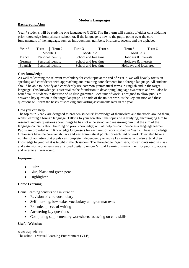#### **Modern Languages**

#### **Background/Aims**

Year 7 students will be studying one language to GCSE. The first term will consist of either consolidating prior knowledge from primary school, or, if the language is new to the pupil, going over the core fundamentals of the language, such as introductions, numbers, birthdays, accents and the alphabet.

| Year 7  | Term 1 | Term 2            | Term 3               | Term 4 | Term 5                  | Term 6 |
|---------|--------|-------------------|----------------------|--------|-------------------------|--------|
|         |        | Module 1          | Module 2             |        | Module 3                |        |
| French  |        | Personal identity | School and free time |        | Holidays & interests    |        |
| German  |        | Personal identity | School and free time |        | Holidays & interests    |        |
| Spanish |        | Personal identity | School and free time |        | Holidays and local area |        |

#### **Core knowledge**

As well as learning the relevant vocabulary for each topic at the end of Year 7, we will heavily focus on speaking and confidence with approaching and retaining core elements for a foreign language. All students should be able to identify and confidently use common grammatical terms in English and in the target language. This knowledge is essential as the foundation to developing language awareness and will also be beneficial to students in their use of English grammar. Each unit of work is designed to allow pupils to answer a key question in the target language. The title of the unit of work is the key question and these questions will form the bases of speaking and writing assessments later in the year.

#### **How you can help**

The topics in Year 7 are designed to broaden students' knowledge of themselves and the world around them, whilst learning a foreign language. Talking to your son about the topics he is studying, encouraging him to research and ask questions about things he has not understood, and reassuring him that the aim of the language course is about building on prior knowledge; will all help his confidence as a language learner. Pupils are provided with Knowledge Organisers for each unit of work studied in Year 7. These Knowledge Organisers have the core vocabulary and key grammatical points for each unit of work. They also have a number of activities that pupils can complete independently to revise key material and also extend their knowledge beyond what is taught in the classroom. The Knowledge Organisers, PowerPoints used in class and extension worksheets are all stored digitally on our Virtual Learning Environment for pupils to access and refer to all year round.

#### **Equipment**

- Ruler
- Blue, black and green pens
- Highlighter

#### **Home Learning**

Home Learning consists of a mixture of:

- Revision of core vocabulary
- Self-marking, low stakes vocabulary and grammar tests
- Extended pieces of writing
- Answering key questions
- Completing supplementary worksheets focussing on core skills

#### **Useful Websites**

wwww.quizlet.com The school's Virtual Learning Environment (VLE)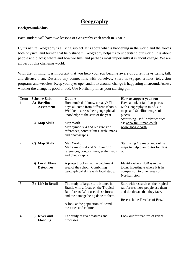## **Geography**

#### **Background/Aims**

Each student will have two lessons of Geography each week in Year 7.

By its nature Geography is a living subject. It is about what is happening in the world and the forces both physical and human that help shape it. Geography helps us to understand our world. It is about people and places; where and how we live, and perhaps most importantly it is about change. We are all part of this changing world.

With that in mind, it is important that you help your son become aware of current news items; talk and discuss them. Describe any connections with ourselves. Share newspaper articles, television programs and websites. Keep your eyes open and look around, change is happening all around. Assess whether the change is good or bad. Use Northampton as your starting point.

| <b>Term</b>    | <b>Scheme/ Unit</b>          | <b>Outline</b>                                | How to support your son                                             |
|----------------|------------------------------|-----------------------------------------------|---------------------------------------------------------------------|
| 1              | A) Baseline                  | How much do I know already? The               | Have a look at familiar places                                      |
|                | <b>Assessment</b>            | boys all come from different schools.         | with Geography in mind. OS                                          |
|                |                              | We like to assess their geographical          | maps and Satellite images of                                        |
|                |                              | knowledge at the start of the year.           | places.                                                             |
|                |                              |                                               | Start using useful websites such                                    |
|                | <b>B</b> ) Map Skills        | Map Work.                                     | as: www.mulitimap.co.uk                                             |
|                |                              | Map symbols, 4 and 6 figure grid              | www.google.earth                                                    |
|                |                              | references, contour lines, scale, maps        |                                                                     |
|                |                              | and photographs.                              |                                                                     |
|                |                              |                                               |                                                                     |
| $\overline{2}$ | C) Map Skills                | Map Work.<br>Map symbols, 4 and 6 figure grid | Start using OS maps and online<br>maps to help plan routes for days |
|                |                              | references, contour lines, scale, maps        | out.                                                                |
|                |                              | and photographs.                              |                                                                     |
|                |                              |                                               |                                                                     |
|                | D) Local Place               | A project looking at the catchment            | Identify where NSB is in the                                        |
|                | <b>Detectives</b>            | area of the school. Combining                 | town. Investigate where it is in                                    |
|                |                              | geographical skills with local study.         | comparison to other areas of                                        |
|                |                              |                                               | Northampton.                                                        |
|                |                              |                                               |                                                                     |
| 3              | E) Life in Brazil            | The study of large scale biomes in            | Start with research on the tropical                                 |
|                |                              | Brazil, with a focus on the Tropical          | rainforests, how people use them                                    |
|                |                              | Rainforests. Who uses these forests           | and the threats that they face.                                     |
|                |                              | and the damage being done to them.            | Research the Favellas of Brazil.                                    |
|                |                              | A look at the population of Brazil,           |                                                                     |
|                |                              | the cities and culture.                       |                                                                     |
|                |                              |                                               |                                                                     |
| 4              | <b>River and</b><br>$\bf{F}$ | The study of river features and               | Look out for features of rivers.                                    |
|                | Flooding                     | processes.                                    |                                                                     |
|                |                              |                                               |                                                                     |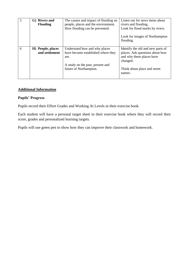| 5 | G) Rivers and<br><b>Flooding</b>    | The causes and impact of flooding on<br>people, places and the environment.<br>How flooding can be prevented.                             | Listen out for news items about<br>rivers and flooding.<br>Look for flood marks by rivers.<br>Look for images of Northampton<br>flooding.               |
|---|-------------------------------------|-------------------------------------------------------------------------------------------------------------------------------------------|---------------------------------------------------------------------------------------------------------------------------------------------------------|
| 6 | H) People, places<br>and settlement | Understand how and why places<br>have become established where they<br>are.<br>A study on the past, present and<br>future of Northampton. | Identify the old and new parts of<br>places. Ask questions about how<br>and why these places have<br>changed.<br>Think about place and street<br>names. |

#### **Pupils' Progress**

Pupils record their Effort Grades and Working At Levels in their exercise book.

Each student will have a personal target sheet in their exercise book where they will record their score, grades and personalized learning targets.

Pupils will use green pen to show how they can improve their classwork and homework.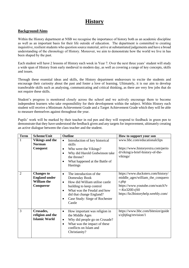## **History**

#### **Background/Aims**

Within the History department at NSB we recognise the importance of history both as an academic discipline as well as an important basis for their life outside of education. The department is committed to creating inquisitive, resilient students who question source material, arrive at substantiated judgements and have a broad understanding of the chronology of History. Moreover, we aim to demonstrate how the world we live in has been shaped by the past.

Each student will have 2 lessons of History each week in Year 7. Over the next three years' student will study a wide span of History from early medieval to modern day, as well as covering a range of key concepts, skills and issues.

Through these essential ideas and skills, the History department endeavours to excite the students and encourage their curiosity about the past and foster a love of learning. Ultimately, it is our aim to develop transferable skills such as analysing, communicating and critical thinking, as there are very few jobs that do not require these skills.

Student's progress is monitored closely across the school and we actively encourage them to become independent learners who take responsibility for their development within the subject. Within History each student will receive a Minimum Achievement Grade and a Target Achievement Grade which they will be able to measure themselves against throughout the year.

Pupils' work will be marked by their teacher in red pen and they will respond to feedback in green pen to demonstrate that they have understood the feedback given and any targets for improvement, ultimately creating an active dialogue between the class teacher and the student.

| <b>Term</b>    | <b>Scheme/Unit</b>                                                           | Outline                                                                                                                                                                                                                                                   | How to support your son                                                                                                                                                    |
|----------------|------------------------------------------------------------------------------|-----------------------------------------------------------------------------------------------------------------------------------------------------------------------------------------------------------------------------------------------------------|----------------------------------------------------------------------------------------------------------------------------------------------------------------------------|
| 1              | <b>Vikings and the</b><br><b>Norman</b><br><b>Conquest</b>                   | Introduction of key historical<br>$\bullet$<br>skills<br>Who were the Vikings?<br>٠<br>Why did Harold Godwinson take<br>$\bullet$<br>the throne?<br>What happened at the Battle of<br>٠<br><b>Hastings</b>                                                | www.bbc.com/educationalclips<br>https://www.historyextra.com/perio<br>d/viking/a-brief-history-of-the-<br>vikings/                                                         |
| $\overline{2}$ | <b>Changes to</b><br><b>England under</b><br><b>William the</b><br>Conqueror | The introduction of the<br>$\bullet$<br>Domesday Book<br>How did William utilise castle<br>$\bullet$<br>building to keep control<br>What was the Feudal and how<br>$\bullet$<br>did that change England?<br>Case Study: Siege of Rochester<br>٠<br>Castle | https://www.ducksters.com/history/<br>middle_ages/william_the_conquero<br>r.php<br>https://www.youtube.com/watch?v<br>$=$ Kn320EvjS0<br>https://ks3historyhelp.weebly.com/ |
| 3              | Crusades,<br>religion and the<br><b>Islamic World</b>                        | How important was religion in<br>$\bullet$<br>the Middle Ages<br>Why did people go on Crusade?<br>$\bullet$<br>What was the impact of these<br>$\bullet$<br>conflicts on Islam and<br>Christianity?                                                       | https://www.bbc.com/bitesize/guide<br>s/zjbj6sg/revision/1                                                                                                                 |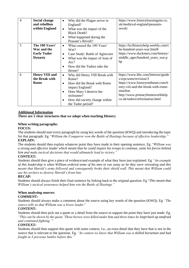| $\overline{4}$ | <b>Social change</b><br>and rebellion<br>within England               | Why did the Plague arrive in<br>$\bullet$<br>England?<br>What was the impact of the<br>$\bullet$<br><b>Black Death?</b><br>What happened during the<br>Peasant's Revolt?                                                   | https://www.historylearningsite.co.<br>uk/medieval-england/peasants-<br>revolt/                                                                                                                                       |
|----------------|-----------------------------------------------------------------------|----------------------------------------------------------------------------------------------------------------------------------------------------------------------------------------------------------------------------|-----------------------------------------------------------------------------------------------------------------------------------------------------------------------------------------------------------------------|
| 5              | The 100 Years'<br>War and the<br><b>Early Tudor</b><br><b>Dynasty</b> | What caused the 100 Years'<br>$\bullet$<br>War?<br>Case Study: Battle of Agincourt<br>٠<br>What was the impact of Joan of<br>$\bullet$<br>Arc?<br>How did the Tudors take the<br>$\bullet$<br>throne?                      | https://ks3historyhelp.weebly.com/t<br>he-hundred-years-war.html#<br>https://www.ducksters.com/history/<br>middle_ages/hundred_years_war.p<br>hp                                                                      |
| 6              | <b>Henry VIII and</b><br>the Break with<br>Rome                       | Why did Henry VIII Break with<br>$\bullet$<br>Rome?<br>How did the Break with Rome<br>$\bullet$<br>impact England?<br>Does Mary I deserve her<br>٠<br>nickname?<br>How did society change within<br>٠<br>the Tudor period? | https://www.bbc.com/bitesize/guide<br>s/zrpcwmn/revision/3<br>https://www.historyonthenet.com/h<br>enry-viii-and-the-break-with-rome-<br>timeline<br>http://www.primaryhomeworkhelp.<br>co.uk/tudors/reformation.html |

#### **There are 2 clear structures that we adopt when teaching History:**

#### **When writing paragraphs:**

#### **FOCUS:**

The students should start every paragraph by using key words of the question (KWQ) and introducing the topic for that paragraph. Eg *"William the Conqueror won the Battle of Hastings because of effective leadership."* **EXPLAIN:**

The students should then explain whatever point they have made in their opening sentence. Eg *"William was a strong and effective leader which meant that he could inspire his troops to continue, unite his forces behind him and make tactical decisions that would ultimately lead to victory."*

#### **CONTEXT:**

Students should then give a piece of evidence/and example of what they have just explained. Eg *"An example of this leadership is when William ordered some of his men to run away as he they were retreating and this meant that Harold's army followed and consequently broke their shield wall. This meant that William could use his archers to destroy Harold's front line.*

#### **RECAP:**

Students should always finish their final sentence by linking back to the original question. Eg "*This meant that William's tactical awareness helped him win the Battle of Hastings."*

#### **When analysing sources:**

#### **COMMENT:**

Students should always make a comment about the source using key words of the question (KWQ). Eg *"The source tells us that William was a brave leader"*

#### **CONTENT:**

Students should then pick out a quote or a detail from the source to support the point they have just made. Eg. *"This can be shown by the quote 'Three horses were killed under him and three times he leapt back up unafraid and continued fighting.'"*

#### **CONTEXT:**

Students should then support this quote with some context. I.e., an extra detail that they have that is not in the source that is relevant to the question. Eg. *"In context we know that William was a skilled horseman and had fought in 3 previous battles before this."*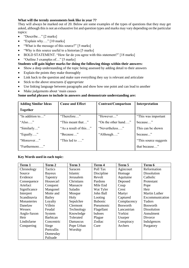#### **What will the termly assessments look like in year 7?**

They will always be marked out of 20. Below are some examples of the types of questions that they may get asked, although this is not an exhaustive list and question types and marks may vary depending on the particular topics:

- "Describe..." [2 marks]
- "Explain why...." [10 marks]
- "What is the message of this source?" [5 marks]
- "Why is this source useful to a historian [5 marks]
- BOLD STATEMENT. "How far do you agree with this statement?" [18 marks]
- "Outline 3 examples of..." [5 marks]

#### **Students will gain higher marks for doing the following things within their answers:**

- Show a deep understanding of the topic being assessed by adding detail to their answers
- Explain the points they make thoroughly
- Link back to the question and make sure everything they say is relevant and articulate
- Stick to the above structures *if appropriate*
- Use linking language between paragraphs and show how one point and can lead to another
- Make judgements about 'main causes

#### **Some useful phrases to include in answers and demonstrate understanding are:**

| <b>Adding Similar Ideas</b> | <b>Cause and Effect</b> | Contrast/Comparison | Interpretation         |
|-----------------------------|-------------------------|---------------------|------------------------|
| <b>Together</b>             |                         |                     |                        |
| "In addition to"            | "Therefore"             | "However"           | "This was important    |
| "Also"                      | "This meant that"       | "On the other hand" | because"               |
| "Similarly"                 | "As a result of this"   | "Nevertheless"      | This can be shown      |
| "Equally"                   | "Because"               | "Although"          | because"               |
| "Moreover"                  | "This led to "          |                     | "This source suggests" |
| "Furthermore"               |                         |                     | that because"          |

#### **Key Words used in each topic:**

| Term 1       | Term 2          | Term 3     | Term 4         | Term 5          | Term 6             |
|--------------|-----------------|------------|----------------|-----------------|--------------------|
| Chronology   | Tactics         | Saracen    | Poll Tax       | Agincourt       | Reformation        |
| Source       | Bayeux          | Islamic    | Discipline     | Homage          | <b>Dissolution</b> |
| Evidence     | Tapestry        | Jerusalem  | Revolt         | Aquitaine       | Catholic           |
| Consequence  | Housecarl       | Christians | Pardons        | Deposed         | Protestant         |
| Artefact     | Conquest        | Massacre   | Mile End       | Coup            | Pope               |
| Significance | Mangonel        | Saladin    | Wat Tyler      | Crest           | Heir               |
| Interpret    | Motte and       | Mosque     | John Ball      | Martyr          | Martin Luther      |
| Scandinavia  | Bailey          | Holy       | Looting        | Captured        | Excommunication    |
| Monasteries  | Loyalty         | Sepulchre  | <b>Bubonic</b> | Complacency     | Tudors             |
| Danelaw      | Villein         | Clermont   | Pneumonic      | <b>Bosworth</b> | <b>Bosworth</b>    |
| Wessex       | Feudal          | Technology | Flagellant     | Lancastrian     | <b>Dissolution</b> |
| Anglo-Saxon  | System          | Knowledge  | buboes         | Yorkist         | Annulment          |
| Heir         | <b>Barbican</b> | Tolerated  | Plague         | Usurper         | Divorce            |
| Lindisfarne  | Concentric      | Damascus   | Zodiac         | Conspiracy      | Indulgences        |
| Conquering   | Siege           | Pope Urban | Cure           | Archers         | Purgatory          |
|              | Portcullis      | Worship    |                |                 |                    |
|              | Domesday        |            |                |                 |                    |
|              | Palisade        |            |                |                 |                    |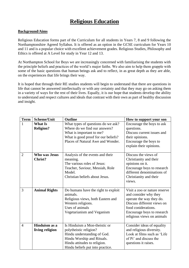## **Religious Education**

#### **Background/Aims**

Religious Education forms part of the Curriculum for all students in Years 7, 8 and 9 following the Northamptonshire Agreed Syllabus. It is offered as an option in the GCSE curriculum for Years 10 and 11 and is a popular choice with excellent achievement grades. Religious Studies, Philosophy and Ethics is offered at A Level for study in Year 12 and 13.

At Northampton School for Boys we are increasingly concerned with familiarising the students with the principle beliefs and practices of the world's major faiths. We also aim to help them grapple with some of the basic questions that human beings ask and to reflect, in as great depth as they are able, on the experiences that life brings their way.

It is hoped that through their RE studies students will begin to understand that there are questions in life that cannot be answered intellectually or with any certainty and that they may go on asking them in a variety of ways for the rest of their lives. Equally, it is our hope that students develop the ability to understand and respect cultures and ideals that contrast with their own as part of healthy discussion and insight.

| <b>Term</b>    | Scheme/Unit                            | <b>Outline</b>                                                                                                                                                                           | How to support your son                                                                                                                                                                             |
|----------------|----------------------------------------|------------------------------------------------------------------------------------------------------------------------------------------------------------------------------------------|-----------------------------------------------------------------------------------------------------------------------------------------------------------------------------------------------------|
| $\mathbf{1}$   | <b>What Is</b><br><b>Religion?</b>     | What types of questions do we ask?<br>Where do we find our answers?<br>What is important to me?<br>What is good proof for our beliefs?<br>Places of Natural Awe and Wonder.              | Encourage the boys to ask<br>questions.<br>Discuss current issues and<br>their opinions.<br>Encourage the boys to<br>explain their opinions.                                                        |
| $\overline{2}$ | <b>Who was Jesus</b><br><b>Christ?</b> | Analysis of the events and their<br>meaning.<br>The various roles of Jesus:<br>Teacher, Saviour, Messiah, Role<br>Model.<br>Christian beliefs about Jesus.                               | Discuss the views of<br>Christianity and their<br>opinions on it.<br>Encourage boys to research<br>different denominations of<br>Christianity and their<br>views.                                   |
| 3              | <b>Animal Rights</b>                   | Do humans have the right to exploit<br>animals.<br>Religious views, both Eastern and<br>Western religions.<br>Uses of animals<br>Vegetarianism and Veganism                              | Visit a zoo or nature reserve<br>and consider why they<br>operate the way they do.<br>Discuss different views on<br>food coniderations.<br>Encourage boys to research<br>religious views on animals |
| $\overline{4}$ | Hinduism as a<br>living religion       | Is Hinduism a Mon-theistic or<br>polytheistic religion?<br>Hindu understanding of God.<br>Hindu Worship and Rituals.<br>Hindu attitudes to religion.<br>Hindu beliefs put into practice. | Consider ideas of equality<br>and religious diversity.<br>Look at films such as 'Life<br>of Pi' and discuss the<br>questions it raises.                                                             |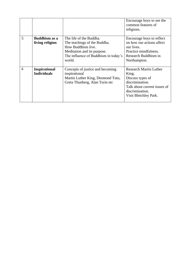|   |                                            |                                                                                                                                                                 | Encourage boys to see the<br>common features of<br>religions.                                                                                             |
|---|--------------------------------------------|-----------------------------------------------------------------------------------------------------------------------------------------------------------------|-----------------------------------------------------------------------------------------------------------------------------------------------------------|
| 5 | <b>Buddhism as a</b><br>living religion    | The life of the Buddha.<br>The teachings of the Buddha.<br>How Buddhists live.<br>Meditation and its purpose.<br>The influence of Buddhism in today's<br>world. | Encourage boys to reflect<br>on how our actions affect<br>our lives.<br>Practice mindfulness.<br>Research Buddhism in<br>Northampton.                     |
| 6 | <b>Inspirational</b><br><b>Individuals</b> | Concepts of justice and becoming<br>inspirational<br>Martin Luther King, Desmond Tutu,<br>Greta Thunberg, Alan Turin etc                                        | <b>Research Martin Luther</b><br>King.<br>Discuss types of<br>discrimination.<br>Talk about current issues of<br>discrimination.<br>Visit Bletchley Park. |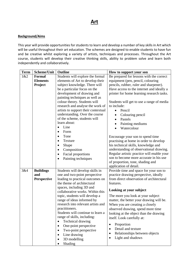#### **Background/Aims**

This year will provide opportunities for students to learn and develop a number of key skills in Art which will be useful throughout their art education. The schemes are designed to enable students to have fun and be creative whilst exploring a variety of artists, techniques and processes. Throughout the Art course, students will develop their creative thinking skills, ability to problem solve and learn both independently and collaboratively.

| <b>Term</b> | Scheme/Unit      | Outline                                                        | How to support your son                                                           |
|-------------|------------------|----------------------------------------------------------------|-----------------------------------------------------------------------------------|
| 1&2         | <b>Formal</b>    | Students will explore the formal                               | Be prepared for lessons with the correct                                          |
|             | <b>Elements</b>  | elements of Art to develop their                               | equipment (pen, pencil, colouring                                                 |
|             | Project          | subject knowledge. There will                                  | pencils, rubber, ruler and sharpener).                                            |
|             |                  | be a particular focus on the                                   | Have access to the internet and ideally a                                         |
|             |                  | development of drawing and                                     | printer for home learning research tasks.                                         |
|             |                  | painting techniques as well as                                 |                                                                                   |
|             |                  | colour theory. Students will                                   | Students will get to use a range of media                                         |
|             |                  | research and analyse the work of                               | to include:                                                                       |
|             |                  | artists to support their contextual                            | Pencil<br>$\bullet$                                                               |
|             |                  | understanding. Over the course                                 | Colouring pencil<br>$\bullet$                                                     |
|             |                  | of the scheme, students will                                   | Pastels<br>$\bullet$                                                              |
|             |                  | learn about:                                                   | Painting mediums<br>$\bullet$                                                     |
|             |                  | Line<br>$\bullet$                                              | Watercolour                                                                       |
|             |                  | Form                                                           |                                                                                   |
|             |                  | Tone                                                           | Encourage your son to spend time                                                  |
|             |                  | Texture<br>$\bullet$                                           | practising at home in order to develop                                            |
|             |                  | Shape                                                          | his technical skills, knowledge and                                               |
|             |                  | Composition<br>$\bullet$                                       | understanding of observational drawing.                                           |
|             |                  | Facial proportions                                             | Regular artistic practice will enable your                                        |
|             |                  | Painting techniques                                            | son to become more accurate in his use                                            |
|             |                  |                                                                | of proportion, tone, shading and                                                  |
|             |                  |                                                                | application of detail.                                                            |
| 3&4         | <b>Buildings</b> | Students will develop skills in                                | Provide time and space for your son to                                            |
|             | and              | one and two-point perspective                                  | practice drawing perspective, ideally<br>from direct observation of architectural |
|             | Perspective      | leading to practical outcomes on<br>the theme of architectural | features.                                                                         |
|             |                  | spaces, including 3D and                                       |                                                                                   |
|             |                  | collaborative works. Within this                               | Looking at your subject                                                           |
|             |                  | topic, students will develop a                                 | The more you look at your subject                                                 |
|             |                  | range of ideas informed by                                     | matter, the better your drawing will be.                                          |
|             |                  | research into relevant artists and                             | When you are creating a closely                                                   |
|             |                  | practitioners.                                                 | observed drawing, spend more time                                                 |
|             |                  | Students will continue to learn a                              | looking at the object than the drawing                                            |
|             |                  | range of skills, including:                                    | itself. Look carefully at:                                                        |
|             |                  | Technical drawing<br>$\bullet$                                 | Proportion<br>$\bullet$                                                           |
|             |                  | One-point perspective<br>$\bullet$                             | Detail and texture<br>$\bullet$                                                   |
|             |                  | Two-point perspective<br>$\bullet$                             | Relationships between objects                                                     |
|             |                  | Line drawing                                                   | Light and shadows                                                                 |
|             |                  | 3D modelling                                                   |                                                                                   |
|             |                  | Shading                                                        |                                                                                   |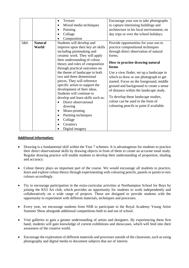|     |                         | Texture<br>٠<br>Mixed media techniques<br>٠<br>Painting<br>Collage<br>Composition                                                                                                                                                                                                                                                                                                                                                                                                                                                                                                        | Encourage your son to take photographs<br>to capture interesting buildings and<br>architecture in his local environment, on<br>day trips or over the school holidays.                                                                                                                                                                                                                                                                                                                                                     |
|-----|-------------------------|------------------------------------------------------------------------------------------------------------------------------------------------------------------------------------------------------------------------------------------------------------------------------------------------------------------------------------------------------------------------------------------------------------------------------------------------------------------------------------------------------------------------------------------------------------------------------------------|---------------------------------------------------------------------------------------------------------------------------------------------------------------------------------------------------------------------------------------------------------------------------------------------------------------------------------------------------------------------------------------------------------------------------------------------------------------------------------------------------------------------------|
| 5&6 | <b>Natural</b><br>World | Students will develop and<br>improve upon their key art skills<br>including printmaking and<br>ceramic work. They will apply<br>their understanding of colour<br>theory and rules of composition<br>through practical outcomes on<br>the theme of landscape in both<br>two and three dimensional<br>pieces. They will reference<br>specific artists to support the<br>development of their ideas.<br>Students will continue to<br>develop and learn skills such as:<br>Direct observational<br>drawing<br>Mono-printing<br>Painting techniques<br>Collage<br>Ceramics<br>Digital imagery | Provide opportunities for your son to<br>practice compositional techniques<br>through direct observation of natural<br>forms.<br>How to practise drawing natural<br>forms<br>Use a view finder, set up a landscape in<br>which to draw or use photograph to get<br>started. Focus on the foreground, middle<br>ground and background to create a sense<br>of distance within the landscape study.<br>To develop these landscape studies,<br>colour can be used in the form of<br>colouring pencils or paint if available. |

- Drawing is a fundamental skill within the Year 7 schemes. It is advantageous for students to practice their direct observational skills by drawing objects in front of them to create an accurate tonal study. Regular drawing practice will enable students to develop their understanding of proportion, shading and accuracy.
- Colour theory plays an important part of the course. We would encourage all students to practice, learn and explore colour theory through experimenting with colouring pencils, pastels or paints to mix colours accordingly.
- Try to encourage participation in the extra-curricular activities at Northampton School for Boys by joining the KS3 Art club, which provides an opportunity for students to work independently and collaboratively on a wide range of projects. These are designed to provide students with the opportunity to experiment with different materials, techniques and processes.
- Every year, we encourage students from NSB to participate in the Royal Academy Young Artist Summer Show alongside additional competitions both in and out of school.
- Visit galleries to gain a greater understanding of artists and designers. By experiencing these first hand, students will gain knowledge of current exhibitions and showcases, which will feed into their awareness of the creative world.
- Encourage the exploration of different materials and processes outside of the classroom, such as using photography and digital media to document subjects that are of interest.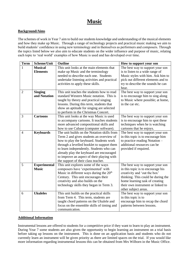## **Music**

#### **Background/Aims**

The schemes of work in Year 7 aim to build our students knowledge and understanding of the musical elements and how they make up Music. Through a range of technology projects and practical music making we aim to build students' confidence in using new terminology and in themselves as performers and composers. Through the topics listed below we also aim to educate students on the wider influence and purpose of music, relating each topic to 'real world' examples of how Music is used and has developed over time.

| <b>Term</b>    | Scheme/Unit         | Outline                                                                                | How to support your son                                 |
|----------------|---------------------|----------------------------------------------------------------------------------------|---------------------------------------------------------|
|                | <b>Musical</b>      | This unit looks at the main elements that                                              | The best way to support your son                        |
|                | <b>Elements</b>     | make up Music and the terminology                                                      | is to listen to a wide range of                         |
|                |                     | needed to describe each one. Students                                                  | Music styles with him. Ask him to                       |
|                |                     | undertake listening activities and practical                                           | pick out different elements and to                      |
|                |                     | activities to apply these skills.                                                      | try to describe the sounds he can                       |
|                |                     |                                                                                        | hear.                                                   |
| $\overline{2}$ | <b>Singing</b>      | This unit teaches the students how to read                                             | The best way to support your son                        |
|                | and Notation        | standard Western Music notation. This is                                               | is to encourage him to sing along                       |
|                |                     | taught by theory and practical singing                                                 | to Music where possible; at home,                       |
|                |                     | lessons. During this term, students that                                               | in the car etc.                                         |
|                |                     | show an aptitude for singing are selected                                              |                                                         |
|                |                     | to perform in the Christmas Concert.                                                   |                                                         |
| 3              | <b>Cartoons</b>     | This unit looks at the way Music is used                                               | The best way to support your son                        |
|                |                     | to accompany cartoons. It teaches students                                             | is to encourage him to spot these                       |
|                |                     | more advanced compositional skills and                                                 | techniques when he is watching                          |
|                |                     | how to use Cubase (computer software).                                                 | cartoons that he enjoys.                                |
| $\overline{4}$ | <b>Keyboards</b>    | The unit builds on the Notation skills from                                            | The best way to support your son                        |
|                |                     | Term 2 and gives students an overview of                                               | in this topic is to encourage him                       |
|                |                     | how to play the keyboard. Students work                                                | to practice reading Notation -                          |
|                |                     | through a levelled booklet to support them                                             | additional resources can be                             |
|                |                     | to learn independently. Students who can                                               | provided if required.                                   |
|                |                     | already play the keyboard are encouraged                                               |                                                         |
|                |                     | to improve an aspect of their playing with                                             |                                                         |
|                |                     | the support of their class teacher.                                                    |                                                         |
| 5              | <b>Experimental</b> | This unit explores some of the ways                                                    | The best way to support your son                        |
|                | <b>Music</b>        | composers have 'experimented' with                                                     | in this topic is to encourage his                       |
|                |                     | Music in different ways during the 20 <sup>th</sup>                                    | creativity and 'out the box'                            |
|                |                     | Century. This unit encourages their                                                    | thinking. This could be during the                      |
|                |                     | creativity and also builds on the                                                      | home learning task of creating                          |
|                |                     | technology skills they began in Term 3.                                                | their own instrument or linked to                       |
|                | <b>Ukuleles</b>     |                                                                                        | other subject areas.                                    |
| 6              |                     | This unit builds on the practical skills<br>from Term 4. This term, students are       | The best way to support your son                        |
|                |                     |                                                                                        | in this topic is to<br>encourage him to recap the chord |
|                |                     | taught chord patterns on the Ukulele and<br>focus on the ensemble skills of timing and | patterns between lessons.                               |
|                |                     |                                                                                        |                                                         |
|                |                     | communication.                                                                         |                                                         |

#### **Additional Information**

Instrumental lessons are offered to students for a competitive price if they want to learn to play an instrument. During Year 7 some students are also given the opportunity to begin learning an instrument on a trial basis before taking up lessons on the instrument. This is done on an application basis and students who do not currently learn an instrument will be given priority as there are limited spaces on the trial. If you would like more information regarding instrumental lessons this can be obtained from Mrs Wilborn in the Music Office.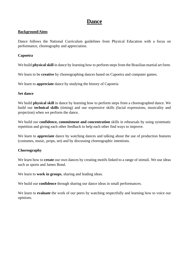## **Dance**

#### **Background/Aims**

Dance follows the National Curriculum guidelines from Physical Education with a focus on performance, choreography and appreciation.

#### **Capoeira**

We build **physical skill** in dance by learning how to perform steps from the Brazilian martial art form.

We learn to be **creative** by choreographing dances based on Capoeira and computer games.

We learn to **appreciate** dance by studying the history of Capoeria

#### **Set dance**

We build **physical skill** in dance by learning how to perform steps from a choreographed dance. We build our **technical skills** (timing) and our expressive skills (facial expressions, musicality and projection) when we perform the dance.

We build our **confidence, commitment and concentration** skills in rehearsals by using systematic repetition and giving each other feedback to help each other find ways to improve.

We learn to **appreciate** dance by watching dances and talking about the use of production features (costumes, music, props, set) and by discussing choreographic intentions.

#### **Choreography**

We learn how to **create** our own dances by creating motifs linked to a range of stimuli. We use ideas such as sports and James Bond.

We learn to **work in groups**, sharing and leading ideas.

We build our **confidence** through sharing our dance ideas in small performances.

We learn to **evaluate** the work of our peers by watching respectfully and learning how to voice our opinions.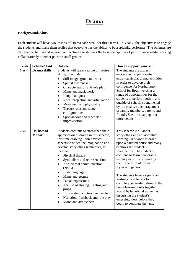## **Drama**

#### **Background/Aims**

Each student will have two lessons of Drama each week for three terms. In Year 7, the objective is to engage the students and make them realise that everyone has the ability to be a splendid performer! The schemes are designed to be fun and interactive, teaching the students the basic disciplines of performance whilst working collaboratively in either pairs or small groups.

| <b>Term</b> | <b>Scheme/ Unit</b>             | <b>Outline</b>                                                                                                                                                                                                                                                                                                                                                                                                                                                                                                                                                                                           | How to support your son                                                                                                                                                                                                                                                                                                                                                                                                                                                                                                                                                |
|-------------|---------------------------------|----------------------------------------------------------------------------------------------------------------------------------------------------------------------------------------------------------------------------------------------------------------------------------------------------------------------------------------------------------------------------------------------------------------------------------------------------------------------------------------------------------------------------------------------------------------------------------------------------------|------------------------------------------------------------------------------------------------------------------------------------------------------------------------------------------------------------------------------------------------------------------------------------------------------------------------------------------------------------------------------------------------------------------------------------------------------------------------------------------------------------------------------------------------------------------------|
| 1 & 4       | Drama skills                    | Students will learn a range of theatre<br>skills, to include:<br>Still image, group tableaux<br>$\bullet$<br>Spatial awareness<br>Characterisation and role play<br>Mime and mask work<br>Loop dialogues<br>$\bullet$<br>Vocal projection and articulation<br>Movement and physicality<br>Theatre roles and stage<br>configurations<br>Spontaneous and rehearsed<br>$\bullet$<br>improvisation                                                                                                                                                                                                           | The students are always<br>encouraged to participate in<br>extra-curricular drama activities<br>in order to develop their<br>confidence. At Northampton<br>School for Boys, we offer a<br>range of opportunities for the<br>students to perform both in and<br>outside of school, strengthened<br>by the positive encouragement<br>of family members, parents and<br>friends. See the next page for<br>more details.                                                                                                                                                   |
| 2&5         | <b>Darkwood</b><br><b>Manor</b> | Students continue to strengthen their<br>appreciation of drama in this scheme,<br>this time drawing upon physical<br>aspects to widen the imagination and<br>develop storytelling techniques, to<br>include:<br>Physical theatre<br>$\bullet$<br>Symbolism and representation<br>Non-verbal communication<br>(NVC)<br>Body language<br>$\bullet$<br>Mime and gesture<br>$\bullet$<br>Facial expressions<br>$\bullet$<br>The use of staging, lighting and<br>props<br>Hot-seating and teacher-in-role<br>$\bullet$<br>Narration, flashback and role play<br>$\bullet$<br>Mood and atmosphere<br>$\bullet$ | This scheme is all about<br>storytelling and collaborative<br>learning. Darkwood is based<br>upon a haunted house and really<br>captures the student's<br>imagination. The students<br>continue to learn new drama<br>techniques whilst expanding<br>their repertoire of dramatic<br>styles and genres.<br>The students have a significant<br>writing- in- role task to<br>complete, so reading through the<br>home learning tasks together<br>would be beneficial as well as<br>discussing the student's<br>emerging ideas before they<br>begin to complete the task. |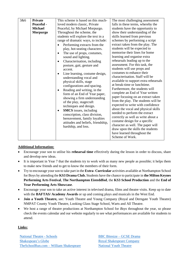| 3&6 | <b>Private</b>    | This scheme is based on this much-         | The most challenging assessment       |
|-----|-------------------|--------------------------------------------|---------------------------------------|
|     | <b>Peaceful -</b> | loved modern classic, Private              | falls in these terms, whereby the     |
|     | <b>Michael</b>    | Peaceful, by Michael Morpurgo.             | students have the opportunity to      |
|     | <b>Morpurgo</b>   | Throughout the scheme, the                 | show their understanding of the       |
|     |                   | students will explore the text in a        | skills learned from previous          |
|     |                   | range of dramatic ways, to include:        | schemes by performing a script        |
|     |                   | Performing extracts from the               | extract taken from the play. The      |
|     |                   | play, hot-seating characters.              | students will be expected to          |
|     |                   | The use of props, costumes,                | memorise their lines for home         |
|     |                   | sound and lighting.                        | learning and organise extra           |
|     |                   | Characterisation, including<br>$\bullet$   | rehearsals leading up to the          |
|     |                   | posture, gait, gesture and                 | assessment. For this task, the        |
|     |                   | accent.                                    | students will use props and           |
|     |                   | Line learning, costume design,             | costumes to enhance their             |
|     |                   | understanding vocal and                    | characterisation. Staff will be       |
|     |                   | physical skills, stage                     | available to support extra rehearsals |
|     |                   | configurations and spacing.                | at break-time or lunchtime.           |
|     |                   | Reading and writing, in the<br>$\bullet$   | Furthermore, the students will        |
|     |                   | form of an End of Year paper,              | complete an End of Year written       |
|     |                   | showing a firm understanding               | paper focusing on an extract taken    |
|     |                   | of the play, stagecraft                    | from the play. The students will be   |
|     |                   | techniques and design.                     | expected to write with confidence     |
|     |                   | <b>SMCS</b> issues, including<br>$\bullet$ | about the vocal and physical skills   |
|     |                   | conscription, class division,              | needed to perform the extract         |
|     |                   | bereavement, family loyalties              | correctly as well as write about a    |
|     |                   | attitudes and beliefs, friendship,         | costume design for a specific         |
|     |                   | hardship, and loss.                        | character as well. The paper will     |
|     |                   |                                            | draw upon the skills the students     |
|     |                   |                                            | have learned throughout the           |
|     |                   |                                            | Scheme of Work.                       |

- Encourage your son to utilise his **rehearsal time** effectively during the lesson in order to discuss, share and develop new ideas.
- It is important in Year 7 that the students try to work with as many new people as possible; it helps them to make new friends and to get to know the members of their form.
- Try to encourage your son to take part in the **Extra- Curricular** activities available at Northampton School for Boys by attending the **KS3 Drama Club.** Students have the chance to participate in **the Milton Keynes Performing Arts Festival**, **The Northampton Eisteddfod**, the **KS3 School Production** and the **End of Year Performing Arts Showcase**.
- Encourage your son to take an active interest in televised drama, films and theatre visits. Keep up to date with the **BAFTAS/ Academy Awards** or up and coming plays and musicals in the West End.
- **Join a Youth Theatre,** see: Youth Theatre and Young Company (Royal and Derngate Youth Theatre) NMPAT County Youth Theatre, Looking Glass Stage School, Warts and All Theatre.
- We host a range of theatre productions at Northampton School for *Boys* throughout the year, so please check the events calendar and our website regularly to see what performances are available for students to attend.

#### **Links:**

[National Theatre](https://www.nationaltheatre.org.uk/learning/schools/secondary-and-fe) - Schools [BBC Bitesize –](https://www.bbc.co.uk/bitesize/subjects/zbckjxs) GCSE Drama [Shakespeare's Globe](https://www.shakespearesglobe.com/?gclid=EAIaIQobChMIr-zsudfR4gIVDpPtCh0SRgg3EAAYASAAEgK7PPD_BwE) [Royal Shakespeare Company](https://www.rsc.org.uk/) [TheSchoolRun.com –](https://www.theschoolrun.com/homework-help/william-shakespeare) William Shakespeare [National Youth Theatre](https://www.nyt.org.uk/)